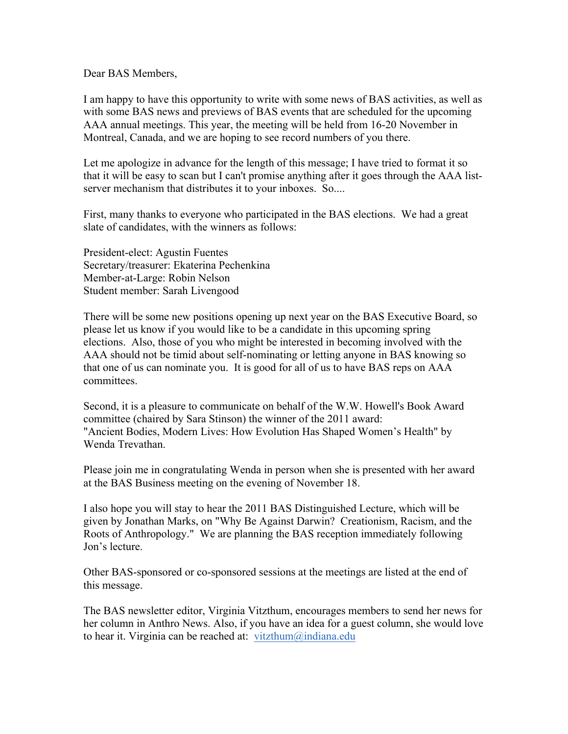Dear BAS Members,

I am happy to have this opportunity to write with some news of BAS activities, as well as with some BAS news and previews of BAS events that are scheduled for the upcoming AAA annual meetings. This year, the meeting will be held from 16-20 November in Montreal, Canada, and we are hoping to see record numbers of you there.

Let me apologize in advance for the length of this message; I have tried to format it so that it will be easy to scan but I can't promise anything after it goes through the AAA listserver mechanism that distributes it to your inboxes. So....

First, many thanks to everyone who participated in the BAS elections. We had a great slate of candidates, with the winners as follows:

President-elect: Agustin Fuentes Secretary/treasurer: Ekaterina Pechenkina Member-at-Large: Robin Nelson Student member: Sarah Livengood

There will be some new positions opening up next year on the BAS Executive Board, so please let us know if you would like to be a candidate in this upcoming spring elections. Also, those of you who might be interested in becoming involved with the AAA should not be timid about self-nominating or letting anyone in BAS knowing so that one of us can nominate you. It is good for all of us to have BAS reps on AAA committees.

Second, it is a pleasure to communicate on behalf of the W.W. Howell's Book Award committee (chaired by Sara Stinson) the winner of the 2011 award: "Ancient Bodies, Modern Lives: How Evolution Has Shaped Women's Health" by Wenda Trevathan.

Please join me in congratulating Wenda in person when she is presented with her award at the BAS Business meeting on the evening of November 18.

I also hope you will stay to hear the 2011 BAS Distinguished Lecture, which will be given by Jonathan Marks, on "Why Be Against Darwin? Creationism, Racism, and the Roots of Anthropology." We are planning the BAS reception immediately following Jon's lecture.

Other BAS-sponsored or co-sponsored sessions at the meetings are listed at the end of this message.

The BAS newsletter editor, Virginia Vitzthum, encourages members to send her news for her column in Anthro News. Also, if you have an idea for a guest column, she would love to hear it. Virginia can be reached at: vitzthum@indiana.edu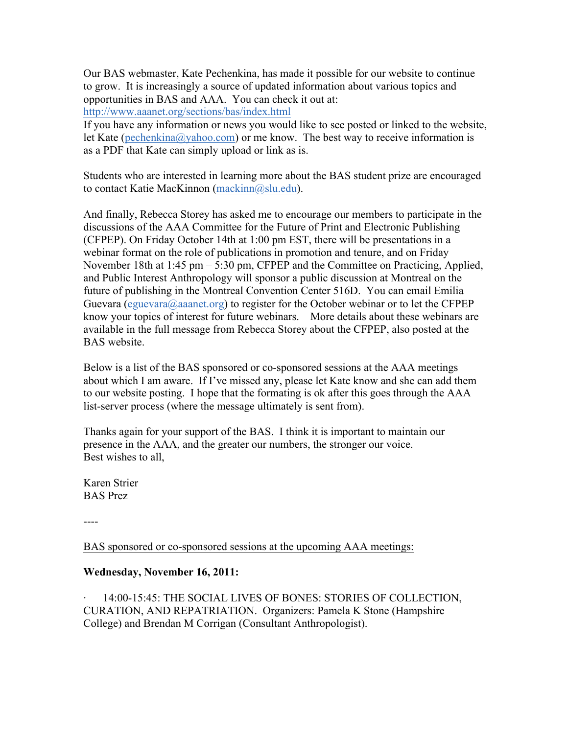Our BAS webmaster, Kate Pechenkina, has made it possible for our website to continue to grow. It is increasingly a source of updated information about various topics and opportunities in BAS and AAA. You can check it out at:

http://www.aaanet.org/sections/bas/index.html

If you have any information or news you would like to see posted or linked to the website, let Kate (pechenkina@yahoo.com) or me know. The best way to receive information is as a PDF that Kate can simply upload or link as is.

Students who are interested in learning more about the BAS student prize are encouraged to contact Katie MacKinnon (mackinn@slu.edu).

And finally, Rebecca Storey has asked me to encourage our members to participate in the discussions of the AAA Committee for the Future of Print and Electronic Publishing (CFPEP). On Friday October 14th at 1:00 pm EST, there will be presentations in a webinar format on the role of publications in promotion and tenure, and on Friday November 18th at 1:45 pm – 5:30 pm, CFPEP and the Committee on Practicing, Applied, and Public Interest Anthropology will sponsor a public discussion at Montreal on the future of publishing in the Montreal Convention Center 516D. You can email Emilia Guevara (eguevara@aaanet.org) to register for the October webinar or to let the CFPEP know your topics of interest for future webinars. More details about these webinars are available in the full message from Rebecca Storey about the CFPEP, also posted at the BAS website.

Below is a list of the BAS sponsored or co-sponsored sessions at the AAA meetings about which I am aware. If I've missed any, please let Kate know and she can add them to our website posting. I hope that the formating is ok after this goes through the AAA list-server process (where the message ultimately is sent from).

Thanks again for your support of the BAS. I think it is important to maintain our presence in the AAA, and the greater our numbers, the stronger our voice. Best wishes to all,

Karen Strier BAS Prez

----

BAS sponsored or co-sponsored sessions at the upcoming AAA meetings:

### **Wednesday, November 16, 2011:**

· 14:00-15:45: THE SOCIAL LIVES OF BONES: STORIES OF COLLECTION, CURATION, AND REPATRIATION. Organizers: Pamela K Stone (Hampshire College) and Brendan M Corrigan (Consultant Anthropologist).